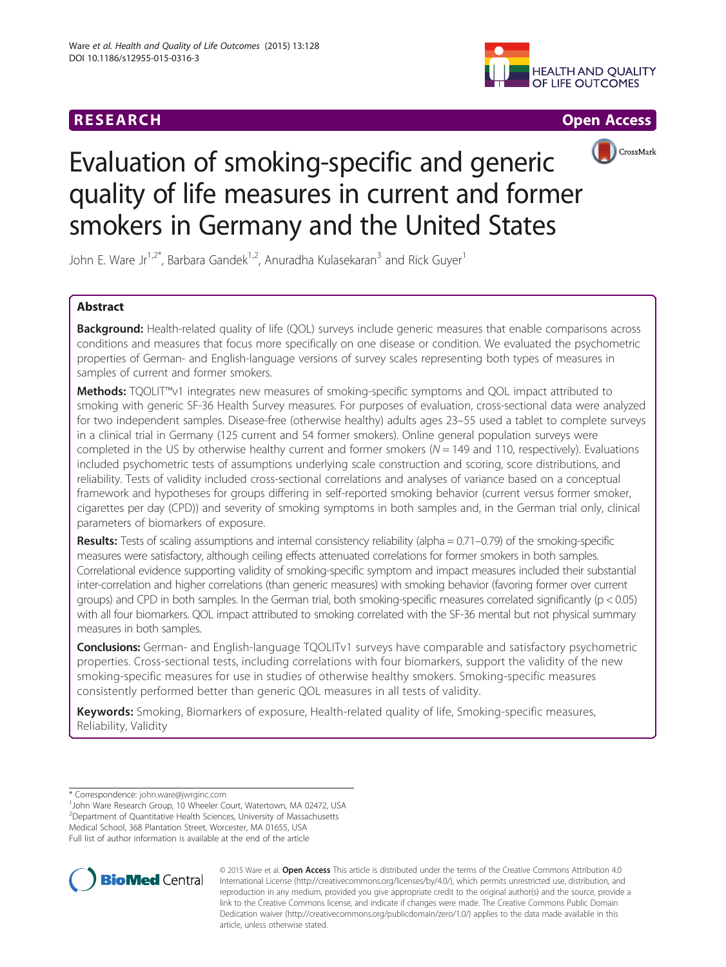





## CrossMark

# Evaluation of smoking-specific and generic quality of life measures in current and former smokers in Germany and the United States

John E. Ware Jr<sup>1,2\*</sup>, Barbara Gandek<sup>1,2</sup>, Anuradha Kulasekaran<sup>3</sup> and Rick Guyer<sup>1</sup>

## Abstract

Background: Health-related quality of life (QOL) surveys include generic measures that enable comparisons across conditions and measures that focus more specifically on one disease or condition. We evaluated the psychometric properties of German- and English-language versions of survey scales representing both types of measures in samples of current and former smokers.

Methods: TQOLIT™v1 integrates new measures of smoking-specific symptoms and QOL impact attributed to smoking with generic SF-36 Health Survey measures. For purposes of evaluation, cross-sectional data were analyzed for two independent samples. Disease-free (otherwise healthy) adults ages 23–55 used a tablet to complete surveys in a clinical trial in Germany (125 current and 54 former smokers). Online general population surveys were completed in the US by otherwise healthy current and former smokers ( $N = 149$  and 110, respectively). Evaluations included psychometric tests of assumptions underlying scale construction and scoring, score distributions, and reliability. Tests of validity included cross-sectional correlations and analyses of variance based on a conceptual framework and hypotheses for groups differing in self-reported smoking behavior (current versus former smoker, cigarettes per day (CPD)) and severity of smoking symptoms in both samples and, in the German trial only, clinical parameters of biomarkers of exposure.

Results: Tests of scaling assumptions and internal consistency reliability (alpha = 0.71–0.79) of the smoking-specific measures were satisfactory, although ceiling effects attenuated correlations for former smokers in both samples. Correlational evidence supporting validity of smoking-specific symptom and impact measures included their substantial inter-correlation and higher correlations (than generic measures) with smoking behavior (favoring former over current groups) and CPD in both samples. In the German trial, both smoking-specific measures correlated significantly (p < 0.05) with all four biomarkers. QOL impact attributed to smoking correlated with the SF-36 mental but not physical summary measures in both samples.

**Conclusions:** German- and English-language TQOLITv1 surveys have comparable and satisfactory psychometric properties. Cross-sectional tests, including correlations with four biomarkers, support the validity of the new smoking-specific measures for use in studies of otherwise healthy smokers. Smoking-specific measures consistently performed better than generic QOL measures in all tests of validity.

Keywords: Smoking, Biomarkers of exposure, Health-related quality of life, Smoking-specific measures, Reliability, Validity

<sup>1</sup> John Ware Research Group, 10 Wheeler Court, Watertown, MA 02472, USA <sup>2</sup> Department of Quantitative Health Sciences, University of Massachusetts

Medical School, 368 Plantation Street, Worcester, MA 01655, USA Full list of author information is available at the end of the article



© 2015 Ware et al. Open Access This article is distributed under the terms of the Creative Commons Attribution 4.0 International License [\(http://creativecommons.org/licenses/by/4.0/\)](http://creativecommons.org/licenses/by/4.0/), which permits unrestricted use, distribution, and reproduction in any medium, provided you give appropriate credit to the original author(s) and the source, provide a link to the Creative Commons license, and indicate if changes were made. The Creative Commons Public Domain Dedication waiver ([http://creativecommons.org/publicdomain/zero/1.0/\)](http://creativecommons.org/publicdomain/zero/1.0/) applies to the data made available in this article, unless otherwise stated.

<sup>\*</sup> Correspondence: [john.ware@jwrginc.com](mailto:john.ware@jwrginc.com) <sup>1</sup>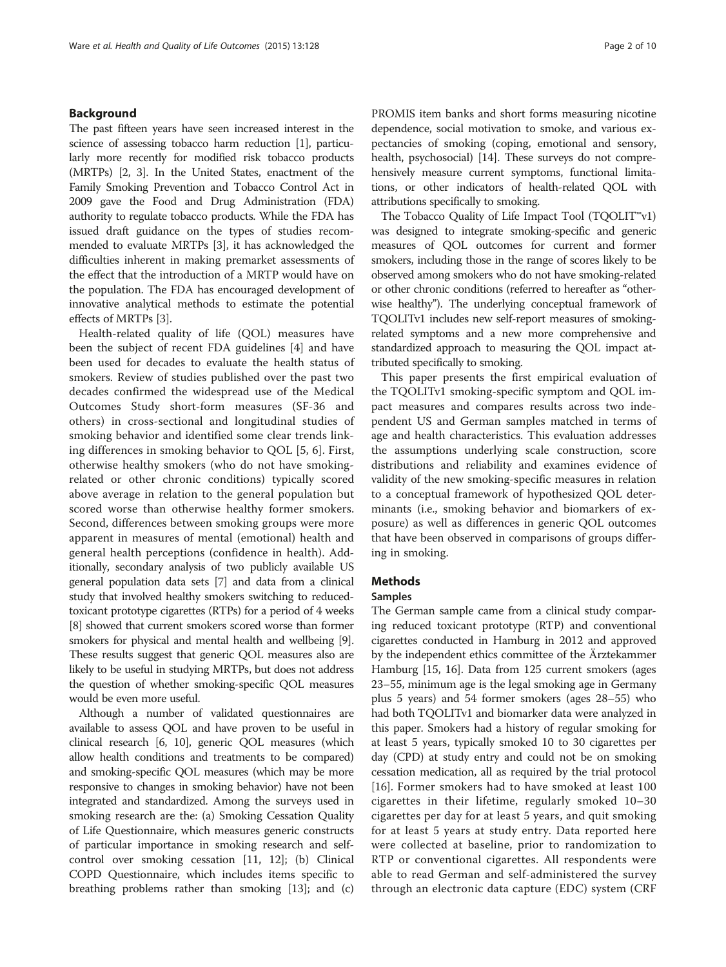#### Background

The past fifteen years have seen increased interest in the science of assessing tobacco harm reduction [\[1](#page-8-0)], particularly more recently for modified risk tobacco products (MRTPs) [\[2](#page-8-0), [3\]](#page-8-0). In the United States, enactment of the Family Smoking Prevention and Tobacco Control Act in 2009 gave the Food and Drug Administration (FDA) authority to regulate tobacco products. While the FDA has issued draft guidance on the types of studies recommended to evaluate MRTPs [[3\]](#page-8-0), it has acknowledged the difficulties inherent in making premarket assessments of the effect that the introduction of a MRTP would have on the population. The FDA has encouraged development of innovative analytical methods to estimate the potential effects of MRTPs [\[3](#page-8-0)].

Health-related quality of life (QOL) measures have been the subject of recent FDA guidelines [\[4](#page-8-0)] and have been used for decades to evaluate the health status of smokers. Review of studies published over the past two decades confirmed the widespread use of the Medical Outcomes Study short-form measures (SF-36 and others) in cross-sectional and longitudinal studies of smoking behavior and identified some clear trends linking differences in smoking behavior to QOL [\[5](#page-8-0), [6](#page-8-0)]. First, otherwise healthy smokers (who do not have smokingrelated or other chronic conditions) typically scored above average in relation to the general population but scored worse than otherwise healthy former smokers. Second, differences between smoking groups were more apparent in measures of mental (emotional) health and general health perceptions (confidence in health). Additionally, secondary analysis of two publicly available US general population data sets [\[7\]](#page-8-0) and data from a clinical study that involved healthy smokers switching to reducedtoxicant prototype cigarettes (RTPs) for a period of 4 weeks [[8](#page-8-0)] showed that current smokers scored worse than former smokers for physical and mental health and wellbeing [[9](#page-8-0)]. These results suggest that generic QOL measures also are likely to be useful in studying MRTPs, but does not address the question of whether smoking-specific QOL measures would be even more useful.

Although a number of validated questionnaires are available to assess QOL and have proven to be useful in clinical research [\[6](#page-8-0), [10](#page-8-0)], generic QOL measures (which allow health conditions and treatments to be compared) and smoking-specific QOL measures (which may be more responsive to changes in smoking behavior) have not been integrated and standardized. Among the surveys used in smoking research are the: (a) Smoking Cessation Quality of Life Questionnaire, which measures generic constructs of particular importance in smoking research and selfcontrol over smoking cessation [[11](#page-8-0), [12](#page-9-0)]; (b) Clinical COPD Questionnaire, which includes items specific to breathing problems rather than smoking [\[13\]](#page-9-0); and (c) PROMIS item banks and short forms measuring nicotine dependence, social motivation to smoke, and various expectancies of smoking (coping, emotional and sensory, health, psychosocial) [\[14](#page-9-0)]. These surveys do not comprehensively measure current symptoms, functional limitations, or other indicators of health-related QOL with attributions specifically to smoking.

The Tobacco Quality of Life Impact Tool (TQOLIT™v1) was designed to integrate smoking-specific and generic measures of QOL outcomes for current and former smokers, including those in the range of scores likely to be observed among smokers who do not have smoking-related or other chronic conditions (referred to hereafter as "otherwise healthy"). The underlying conceptual framework of TQOLITv1 includes new self-report measures of smokingrelated symptoms and a new more comprehensive and standardized approach to measuring the QOL impact attributed specifically to smoking.

This paper presents the first empirical evaluation of the TQOLITv1 smoking-specific symptom and QOL impact measures and compares results across two independent US and German samples matched in terms of age and health characteristics. This evaluation addresses the assumptions underlying scale construction, score distributions and reliability and examines evidence of validity of the new smoking-specific measures in relation to a conceptual framework of hypothesized QOL determinants (i.e., smoking behavior and biomarkers of exposure) as well as differences in generic QOL outcomes that have been observed in comparisons of groups differing in smoking.

## Methods

### Samples

The German sample came from a clinical study comparing reduced toxicant prototype (RTP) and conventional cigarettes conducted in Hamburg in 2012 and approved by the independent ethics committee of the Ärztekammer Hamburg [\[15, 16](#page-9-0)]. Data from 125 current smokers (ages 23–55, minimum age is the legal smoking age in Germany plus 5 years) and 54 former smokers (ages 28–55) who had both TQOLITv1 and biomarker data were analyzed in this paper. Smokers had a history of regular smoking for at least 5 years, typically smoked 10 to 30 cigarettes per day (CPD) at study entry and could not be on smoking cessation medication, all as required by the trial protocol [[16](#page-9-0)]. Former smokers had to have smoked at least 100 cigarettes in their lifetime, regularly smoked 10–30 cigarettes per day for at least 5 years, and quit smoking for at least 5 years at study entry. Data reported here were collected at baseline, prior to randomization to RTP or conventional cigarettes. All respondents were able to read German and self-administered the survey through an electronic data capture (EDC) system (CRF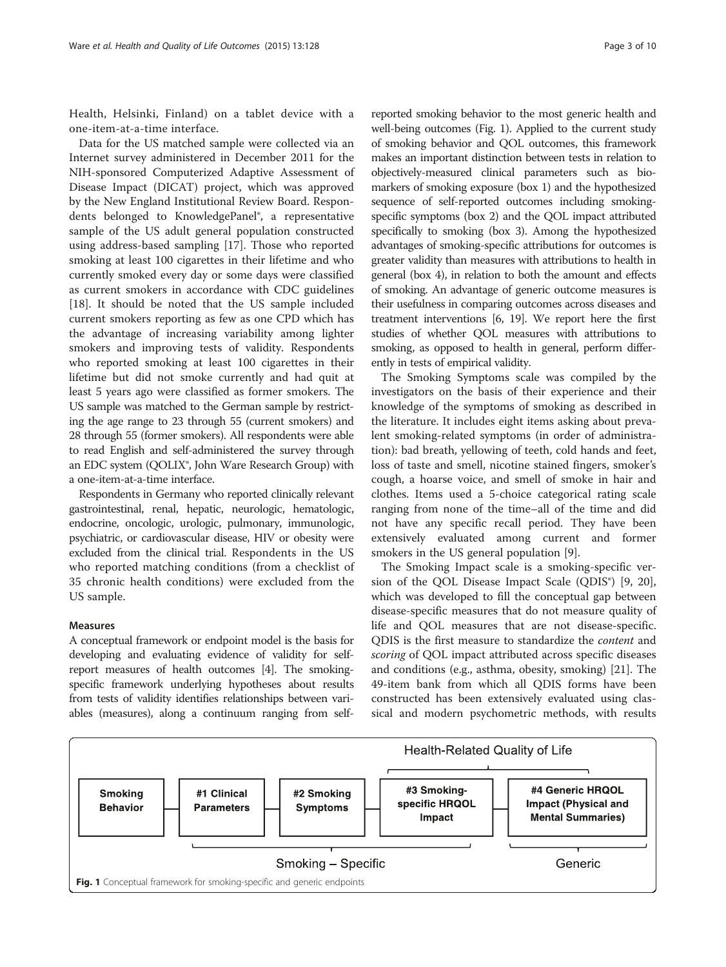<span id="page-2-0"></span>Health, Helsinki, Finland) on a tablet device with a one-item-at-a-time interface.

Data for the US matched sample were collected via an Internet survey administered in December 2011 for the NIH-sponsored Computerized Adaptive Assessment of Disease Impact (DICAT) project, which was approved by the New England Institutional Review Board. Respondents belonged to KnowledgePanel®, a representative sample of the US adult general population constructed using address-based sampling [[17\]](#page-9-0). Those who reported smoking at least 100 cigarettes in their lifetime and who currently smoked every day or some days were classified as current smokers in accordance with CDC guidelines [[18\]](#page-9-0). It should be noted that the US sample included current smokers reporting as few as one CPD which has the advantage of increasing variability among lighter smokers and improving tests of validity. Respondents who reported smoking at least 100 cigarettes in their lifetime but did not smoke currently and had quit at least 5 years ago were classified as former smokers. The US sample was matched to the German sample by restricting the age range to 23 through 55 (current smokers) and 28 through 55 (former smokers). All respondents were able to read English and self-administered the survey through an EDC system (QOLIX®, John Ware Research Group) with a one-item-at-a-time interface.

Respondents in Germany who reported clinically relevant gastrointestinal, renal, hepatic, neurologic, hematologic, endocrine, oncologic, urologic, pulmonary, immunologic, psychiatric, or cardiovascular disease, HIV or obesity were excluded from the clinical trial. Respondents in the US who reported matching conditions (from a checklist of 35 chronic health conditions) were excluded from the US sample.

#### Measures

A conceptual framework or endpoint model is the basis for developing and evaluating evidence of validity for selfreport measures of health outcomes [\[4](#page-8-0)]. The smokingspecific framework underlying hypotheses about results from tests of validity identifies relationships between variables (measures), along a continuum ranging from self-

reported smoking behavior to the most generic health and well-being outcomes (Fig. 1). Applied to the current study of smoking behavior and QOL outcomes, this framework makes an important distinction between tests in relation to objectively-measured clinical parameters such as biomarkers of smoking exposure (box 1) and the hypothesized sequence of self-reported outcomes including smokingspecific symptoms (box 2) and the QOL impact attributed specifically to smoking (box 3). Among the hypothesized advantages of smoking-specific attributions for outcomes is greater validity than measures with attributions to health in general (box 4), in relation to both the amount and effects of smoking. An advantage of generic outcome measures is their usefulness in comparing outcomes across diseases and treatment interventions [[6](#page-8-0), [19\]](#page-9-0). We report here the first studies of whether QOL measures with attributions to smoking, as opposed to health in general, perform differently in tests of empirical validity.

The Smoking Symptoms scale was compiled by the investigators on the basis of their experience and their knowledge of the symptoms of smoking as described in the literature. It includes eight items asking about prevalent smoking-related symptoms (in order of administration): bad breath, yellowing of teeth, cold hands and feet, loss of taste and smell, nicotine stained fingers, smoker's cough, a hoarse voice, and smell of smoke in hair and clothes. Items used a 5-choice categorical rating scale ranging from none of the time–all of the time and did not have any specific recall period. They have been extensively evaluated among current and former smokers in the US general population [\[9\]](#page-8-0).

The Smoking Impact scale is a smoking-specific version of the QOL Disease Impact Scale (QDIS®) [\[9](#page-8-0), [20](#page-9-0)], which was developed to fill the conceptual gap between disease-specific measures that do not measure quality of life and QOL measures that are not disease-specific. QDIS is the first measure to standardize the content and scoring of QOL impact attributed across specific diseases and conditions (e.g., asthma, obesity, smoking) [\[21\]](#page-9-0). The 49-item bank from which all QDIS forms have been constructed has been extensively evaluated using classical and modern psychometric methods, with results

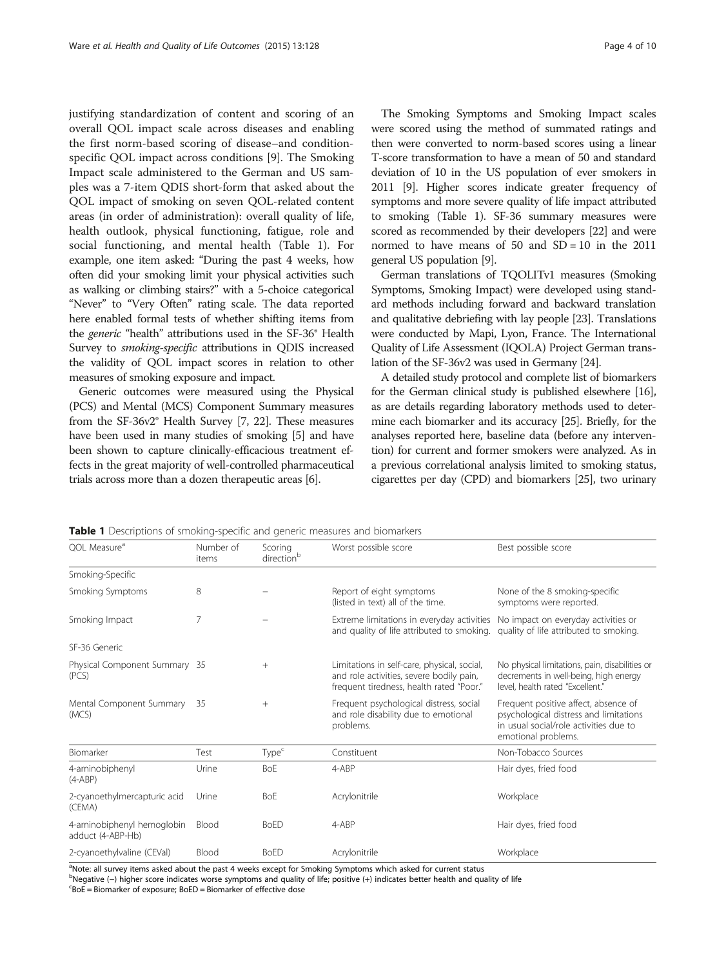<span id="page-3-0"></span>justifying standardization of content and scoring of an overall QOL impact scale across diseases and enabling the first norm-based scoring of disease–and conditionspecific QOL impact across conditions [\[9](#page-8-0)]. The Smoking Impact scale administered to the German and US samples was a 7-item QDIS short-form that asked about the QOL impact of smoking on seven QOL-related content areas (in order of administration): overall quality of life, health outlook, physical functioning, fatigue, role and social functioning, and mental health (Table 1). For example, one item asked: "During the past 4 weeks, how often did your smoking limit your physical activities such as walking or climbing stairs?" with a 5-choice categorical "Never" to "Very Often" rating scale. The data reported here enabled formal tests of whether shifting items from the generic "health" attributions used in the SF-36® Health Survey to smoking-specific attributions in QDIS increased the validity of QOL impact scores in relation to other measures of smoking exposure and impact.

Generic outcomes were measured using the Physical (PCS) and Mental (MCS) Component Summary measures from the SF-36v2® Health Survey [[7](#page-8-0), [22\]](#page-9-0). These measures have been used in many studies of smoking [[5](#page-8-0)] and have been shown to capture clinically-efficacious treatment effects in the great majority of well-controlled pharmaceutical trials across more than a dozen therapeutic areas [\[6](#page-8-0)].

The Smoking Symptoms and Smoking Impact scales were scored using the method of summated ratings and then were converted to norm-based scores using a linear T-score transformation to have a mean of 50 and standard deviation of 10 in the US population of ever smokers in 2011 [\[9](#page-8-0)]. Higher scores indicate greater frequency of symptoms and more severe quality of life impact attributed to smoking (Table 1). SF-36 summary measures were scored as recommended by their developers [\[22\]](#page-9-0) and were normed to have means of  $50$  and  $SD = 10$  in the  $2011$ general US population [\[9\]](#page-8-0).

German translations of TQOLITv1 measures (Smoking Symptoms, Smoking Impact) were developed using standard methods including forward and backward translation and qualitative debriefing with lay people [[23](#page-9-0)]. Translations were conducted by Mapi, Lyon, France. The International Quality of Life Assessment (IQOLA) Project German translation of the SF-36v2 was used in Germany [\[24](#page-9-0)].

A detailed study protocol and complete list of biomarkers for the German clinical study is published elsewhere [\[16](#page-9-0)], as are details regarding laboratory methods used to determine each biomarker and its accuracy [\[25\]](#page-9-0). Briefly, for the analyses reported here, baseline data (before any intervention) for current and former smokers were analyzed. As in a previous correlational analysis limited to smoking status, cigarettes per day (CPD) and biomarkers [\[25\]](#page-9-0), two urinary

| OOL Measure <sup>a</sup>                        | Number of<br>items | Scoring<br>direction <sup>b</sup> | Worst possible score                                                                                                                                                | Best possible score                                                                                                                             |
|-------------------------------------------------|--------------------|-----------------------------------|---------------------------------------------------------------------------------------------------------------------------------------------------------------------|-------------------------------------------------------------------------------------------------------------------------------------------------|
| Smoking-Specific                                |                    |                                   |                                                                                                                                                                     |                                                                                                                                                 |
| Smoking Symptoms                                | 8                  |                                   | Report of eight symptoms<br>(listed in text) all of the time.                                                                                                       | None of the 8 smoking-specific<br>symptoms were reported.                                                                                       |
| Smoking Impact                                  | 7                  |                                   | Extreme limitations in everyday activities No impact on everyday activities or<br>and quality of life attributed to smoking. quality of life attributed to smoking. |                                                                                                                                                 |
| SF-36 Generic                                   |                    |                                   |                                                                                                                                                                     |                                                                                                                                                 |
| Physical Component Summary 35<br>(PCS)          |                    | $+$                               | Limitations in self-care, physical, social,<br>and role activities, severe bodily pain,<br>frequent tiredness, health rated "Poor."                                 | No physical limitations, pain, disabilities or<br>decrements in well-being, high energy<br>level, health rated "Excellent."                     |
| Mental Component Summary<br>(MCS)               | 35                 | $+$                               | Frequent psychological distress, social<br>and role disability due to emotional<br>problems.                                                                        | Frequent positive affect, absence of<br>psychological distress and limitations<br>in usual social/role activities due to<br>emotional problems. |
| Biomarker                                       | Test               | Type <sup>c</sup>                 | Constituent                                                                                                                                                         | Non-Tobacco Sources                                                                                                                             |
| 4-aminobiphenyl<br>$(4-ABP)$                    | Urine              | BoE                               | 4-ABP                                                                                                                                                               | Hair dyes, fried food                                                                                                                           |
| 2-cyanoethylmercapturic acid<br>(CEMA)          | Urine              | BoE                               | Acrylonitrile                                                                                                                                                       | Workplace                                                                                                                                       |
| 4-aminobiphenyl hemoglobin<br>adduct (4-ABP-Hb) | Blood              | <b>BoED</b>                       | 4-ABP                                                                                                                                                               | Hair dyes, fried food                                                                                                                           |
| 2-cyanoethylvaline (CEVal)                      | Blood              | <b>BoED</b>                       | Acrylonitrile                                                                                                                                                       | Workplace                                                                                                                                       |

Table 1 Descriptions of smoking-specific and generic measures and biomarkers

<sup>a</sup>Note: all survey items asked about the past 4 weeks except for Smoking Symptoms which asked for current status bNegative (–) higher score indicates worse symptoms and quality of life; positive (+) indicates better health and quality of life<br>SBOE – Biomarker of exposure: BoED – Biomarker of effective dose  $e^c$ BoE = Biomarker of exposure; BoED = Biomarker of effective dose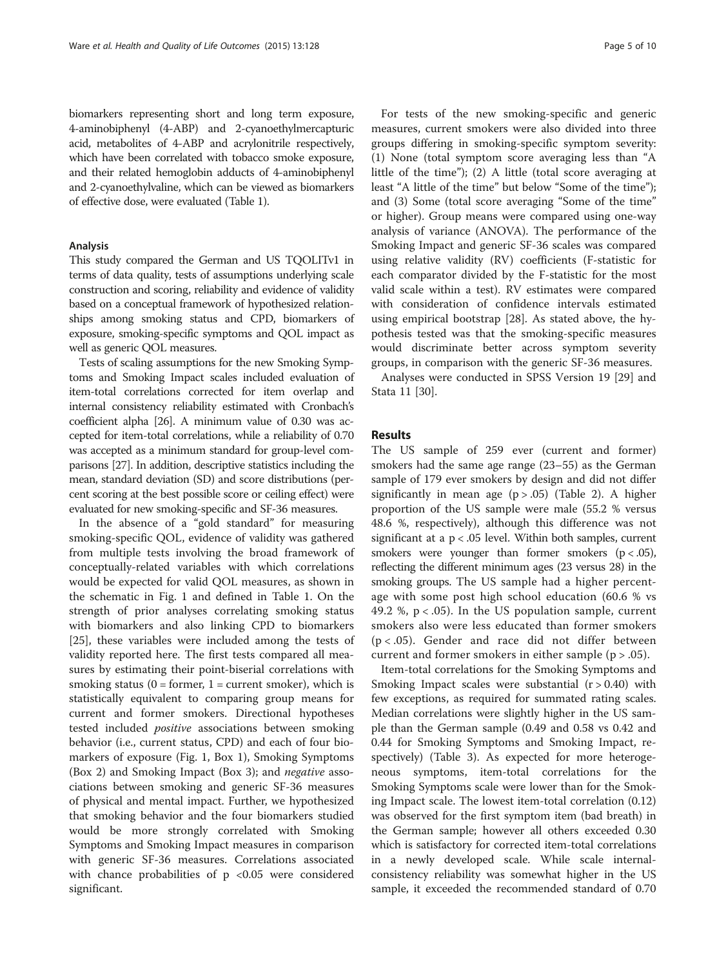biomarkers representing short and long term exposure, 4-aminobiphenyl (4-ABP) and 2-cyanoethylmercapturic acid, metabolites of 4-ABP and acrylonitrile respectively, which have been correlated with tobacco smoke exposure, and their related hemoglobin adducts of 4-aminobiphenyl and 2-cyanoethylvaline, which can be viewed as biomarkers of effective dose, were evaluated (Table [1](#page-3-0)).

#### Analysis

This study compared the German and US TQOLITv1 in terms of data quality, tests of assumptions underlying scale construction and scoring, reliability and evidence of validity based on a conceptual framework of hypothesized relationships among smoking status and CPD, biomarkers of exposure, smoking-specific symptoms and QOL impact as well as generic QOL measures.

Tests of scaling assumptions for the new Smoking Symptoms and Smoking Impact scales included evaluation of item-total correlations corrected for item overlap and internal consistency reliability estimated with Cronbach's coefficient alpha [\[26\]](#page-9-0). A minimum value of 0.30 was accepted for item-total correlations, while a reliability of 0.70 was accepted as a minimum standard for group-level comparisons [[27](#page-9-0)]. In addition, descriptive statistics including the mean, standard deviation (SD) and score distributions (percent scoring at the best possible score or ceiling effect) were evaluated for new smoking-specific and SF-36 measures.

In the absence of a "gold standard" for measuring smoking-specific QOL, evidence of validity was gathered from multiple tests involving the broad framework of conceptually-related variables with which correlations would be expected for valid QOL measures, as shown in the schematic in Fig. [1](#page-2-0) and defined in Table [1](#page-3-0). On the strength of prior analyses correlating smoking status with biomarkers and also linking CPD to biomarkers [[25\]](#page-9-0), these variables were included among the tests of validity reported here. The first tests compared all measures by estimating their point-biserial correlations with smoking status ( $0 =$  former,  $1 =$  current smoker), which is statistically equivalent to comparing group means for current and former smokers. Directional hypotheses tested included positive associations between smoking behavior (i.e., current status, CPD) and each of four biomarkers of exposure (Fig. [1](#page-2-0), Box 1), Smoking Symptoms (Box 2) and Smoking Impact (Box 3); and negative associations between smoking and generic SF-36 measures of physical and mental impact. Further, we hypothesized that smoking behavior and the four biomarkers studied would be more strongly correlated with Smoking Symptoms and Smoking Impact measures in comparison with generic SF-36 measures. Correlations associated with chance probabilities of  $p \le 0.05$  were considered significant.

For tests of the new smoking-specific and generic measures, current smokers were also divided into three groups differing in smoking-specific symptom severity: (1) None (total symptom score averaging less than "A little of the time"); (2) A little (total score averaging at least "A little of the time" but below "Some of the time"); and (3) Some (total score averaging "Some of the time" or higher). Group means were compared using one-way analysis of variance (ANOVA). The performance of the Smoking Impact and generic SF-36 scales was compared using relative validity (RV) coefficients (F-statistic for each comparator divided by the F-statistic for the most valid scale within a test). RV estimates were compared with consideration of confidence intervals estimated using empirical bootstrap [[28\]](#page-9-0). As stated above, the hypothesis tested was that the smoking-specific measures would discriminate better across symptom severity groups, in comparison with the generic SF-36 measures.

Analyses were conducted in SPSS Version 19 [\[29](#page-9-0)] and Stata 11 [[30\]](#page-9-0).

#### Results

The US sample of 259 ever (current and former) smokers had the same age range (23–55) as the German sample of 179 ever smokers by design and did not differ significantly in mean age  $(p > .05)$  (Table [2](#page-5-0)). A higher proportion of the US sample were male (55.2 % versus 48.6 %, respectively), although this difference was not significant at a  $p < .05$  level. Within both samples, current smokers were younger than former smokers  $(p < .05)$ , reflecting the different minimum ages (23 versus 28) in the smoking groups. The US sample had a higher percentage with some post high school education (60.6 % vs 49.2 %,  $p < .05$ ). In the US population sample, current smokers also were less educated than former smokers  $(p < .05)$ . Gender and race did not differ between current and former smokers in either sample (p > .05).

Item-total correlations for the Smoking Symptoms and Smoking Impact scales were substantial  $(r > 0.40)$  with few exceptions, as required for summated rating scales. Median correlations were slightly higher in the US sample than the German sample (0.49 and 0.58 vs 0.42 and 0.44 for Smoking Symptoms and Smoking Impact, respectively) (Table [3](#page-5-0)). As expected for more heterogeneous symptoms, item-total correlations for the Smoking Symptoms scale were lower than for the Smoking Impact scale. The lowest item-total correlation (0.12) was observed for the first symptom item (bad breath) in the German sample; however all others exceeded 0.30 which is satisfactory for corrected item-total correlations in a newly developed scale. While scale internalconsistency reliability was somewhat higher in the US sample, it exceeded the recommended standard of 0.70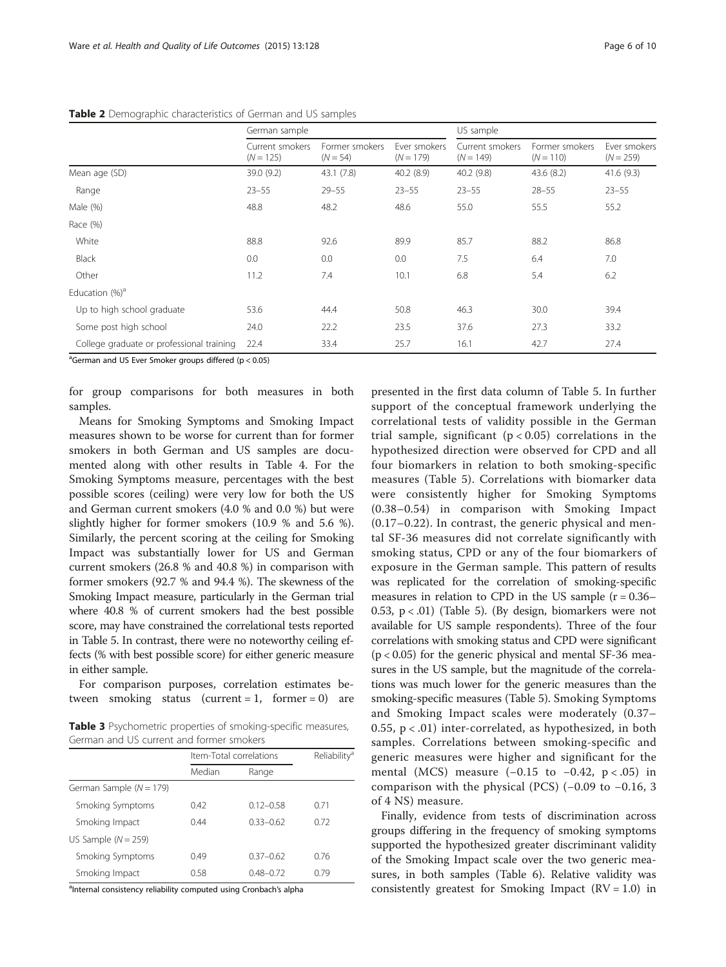|                                           | German sample                  |                              |                             | US sample                      |                               |                             |  |
|-------------------------------------------|--------------------------------|------------------------------|-----------------------------|--------------------------------|-------------------------------|-----------------------------|--|
|                                           | Current smokers<br>$(N = 125)$ | Former smokers<br>$(N = 54)$ | Ever smokers<br>$(N = 179)$ | Current smokers<br>$(N = 149)$ | Former smokers<br>$(N = 110)$ | Ever smokers<br>$(N = 259)$ |  |
| Mean age (SD)                             | 39.0 (9.2)                     | 43.1(7.8)                    | 40.2(8.9)                   | 40.2(9.8)                      | 43.6(8.2)                     | 41.6(9.3)                   |  |
| Range                                     | $23 - 55$                      | $29 - 55$                    | $23 - 55$                   | $23 - 55$                      | $28 - 55$                     | $23 - 55$                   |  |
| Male (%)                                  | 48.8                           | 48.2                         | 48.6                        | 55.0                           | 55.5                          | 55.2                        |  |
| Race (%)                                  |                                |                              |                             |                                |                               |                             |  |
| White                                     | 88.8                           | 92.6                         | 89.9                        | 85.7                           | 88.2                          | 86.8                        |  |
| <b>Black</b>                              | 0.0                            | 0.0                          | 0.0                         | 7.5                            | 6.4                           | 7.0                         |  |
| Other                                     | 11.2                           | 7.4                          | 10.1                        | 6.8                            | 5.4                           | 6.2                         |  |
| Education $(\%)^a$                        |                                |                              |                             |                                |                               |                             |  |
| Up to high school graduate                | 53.6                           | 44.4                         | 50.8                        | 46.3                           | 30.0                          | 39.4                        |  |
| Some post high school                     | 24.0                           | 22.2                         | 23.5                        | 37.6                           | 27.3                          | 33.2                        |  |
| College graduate or professional training | 22.4                           | 33.4                         | 25.7                        | 16.1                           | 42.7                          | 27.4                        |  |

<span id="page-5-0"></span>Table 2 Demographic characteristics of German and US samples

<sup>a</sup>German and US Ever Smoker groups differed (p < 0.05)

for group comparisons for both measures in both samples.

Means for Smoking Symptoms and Smoking Impact measures shown to be worse for current than for former smokers in both German and US samples are documented along with other results in Table [4](#page-6-0). For the Smoking Symptoms measure, percentages with the best possible scores (ceiling) were very low for both the US and German current smokers (4.0 % and 0.0 %) but were slightly higher for former smokers (10.9 % and 5.6 %). Similarly, the percent scoring at the ceiling for Smoking Impact was substantially lower for US and German current smokers (26.8 % and 40.8 %) in comparison with former smokers (92.7 % and 94.4 %). The skewness of the Smoking Impact measure, particularly in the German trial where 40.8 % of current smokers had the best possible score, may have constrained the correlational tests reported in Table [5.](#page-6-0) In contrast, there were no noteworthy ceiling effects (% with best possible score) for either generic measure in either sample.

For comparison purposes, correlation estimates between smoking status (current =  $1$ , former = 0) are

Table 3 Psychometric properties of smoking-specific measures, German and US current and former smokers

|                             |        | Item-Total correlations |      |  |
|-----------------------------|--------|-------------------------|------|--|
|                             | Median | Range                   |      |  |
| German Sample ( $N = 179$ ) |        |                         |      |  |
| Smoking Symptoms            | 0.42   | $0.12 - 0.58$           | 0.71 |  |
| Smoking Impact              | 0.44   | 033-062                 | 0.72 |  |
| US Sample $(N = 259)$       |        |                         |      |  |
| Smoking Symptoms            | 0.49   | 037-062                 | 0.76 |  |
| Smoking Impact              | 0.58   | $0.48 - 0.72$           | በ 79 |  |

anternal consistency reliability computed using Cronbach's alpha

presented in the first data column of Table [5](#page-6-0). In further support of the conceptual framework underlying the correlational tests of validity possible in the German trial sample, significant ( $p < 0.05$ ) correlations in the hypothesized direction were observed for CPD and all four biomarkers in relation to both smoking-specific measures (Table [5\)](#page-6-0). Correlations with biomarker data were consistently higher for Smoking Symptoms (0.38–0.54) in comparison with Smoking Impact (0.17–0.22). In contrast, the generic physical and mental SF-36 measures did not correlate significantly with smoking status, CPD or any of the four biomarkers of exposure in the German sample. This pattern of results was replicated for the correlation of smoking-specific measures in relation to CPD in the US sample  $(r = 0.36 -$ 0.53,  $p < .01$ ) (Table [5](#page-6-0)). (By design, biomarkers were not available for US sample respondents). Three of the four correlations with smoking status and CPD were significant  $(p < 0.05)$  for the generic physical and mental SF-36 measures in the US sample, but the magnitude of the correlations was much lower for the generic measures than the smoking-specific measures (Table [5\)](#page-6-0). Smoking Symptoms and Smoking Impact scales were moderately (0.37– 0.55,  $p < .01$ ) inter-correlated, as hypothesized, in both samples. Correlations between smoking-specific and generic measures were higher and significant for the mental (MCS) measure  $(-0.15 \text{ to } -0.42, \text{ p} < .05)$  in comparison with the physical (PCS) (−0.09 to −0.16, 3 of 4 NS) measure.

Finally, evidence from tests of discrimination across groups differing in the frequency of smoking symptoms supported the hypothesized greater discriminant validity of the Smoking Impact scale over the two generic measures, in both samples (Table [6\)](#page-7-0). Relative validity was consistently greatest for Smoking Impact  $(RV = 1.0)$  in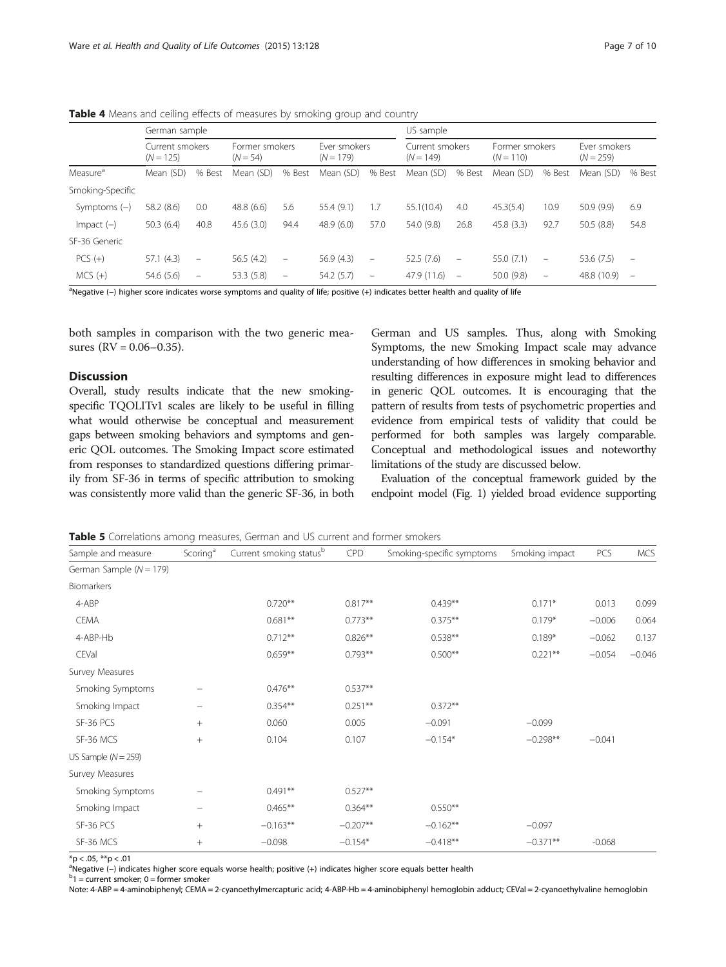|                      | German sample                  |                          |                              |                                |                             |                          | US sample                      |                                |                               |                                |                             |                          |
|----------------------|--------------------------------|--------------------------|------------------------------|--------------------------------|-----------------------------|--------------------------|--------------------------------|--------------------------------|-------------------------------|--------------------------------|-----------------------------|--------------------------|
|                      | Current smokers<br>$(N = 125)$ |                          | Former smokers<br>$(N = 54)$ |                                | Fver smokers<br>$(N = 179)$ |                          | Current smokers<br>$(N = 149)$ |                                | Former smokers<br>$(N = 110)$ |                                | Ever smokers<br>$(N = 259)$ |                          |
| Measure <sup>a</sup> | Mean (SD)                      | % Best                   | Mean (SD)                    | % Best                         | Mean (SD)                   | % Best                   | Mean (SD)                      | % Best                         | Mean (SD)                     | % Best                         | Mean (SD)                   | % Best                   |
| Smoking-Specific     |                                |                          |                              |                                |                             |                          |                                |                                |                               |                                |                             |                          |
| Symptoms $(-)$       | 58.2 (8.6)                     | 0.0                      | 48.8(6.6)                    | 5.6                            | 55.4 (9.1)                  | 1.7                      | 55.1(10.4)                     | 4.0                            | 45.3(5.4)                     | 10.9                           | 50.9(9.9)                   | 6.9                      |
| $Im$ pact $(-)$      | 50.3(6.4)                      | 40.8                     | 45.6(3.0)                    | 94.4                           | 48.9(6.0)                   | 57.0                     | 54.0 (9.8)                     | 26.8                           | 45.8(3.3)                     | 92.7                           | 50.5(8.8)                   | 54.8                     |
| SF-36 Generic        |                                |                          |                              |                                |                             |                          |                                |                                |                               |                                |                             |                          |
| $PCS(+)$             | 57.1(4.3)                      | $\overline{\phantom{m}}$ | 56.5(4.2)                    | $\qquad \qquad \longleftarrow$ | 56.9(4.3)                   | $\overline{\phantom{a}}$ | 52.5(7.6)                      | $\qquad \qquad \longleftarrow$ | 55.0 (7.1)                    | $\qquad \qquad \longleftarrow$ | 53.6 (7.5)                  | $\qquad \qquad -$        |
| $MCS (+)$            | 54.6 (5.6)                     | $\overline{\phantom{m}}$ | 53.3(5.8)                    | -                              | 54.2 (5.7)                  | $\qquad \qquad -$        | 47.9 (11.6)                    | $\overline{\phantom{0}}$       | 50.0(9.8)                     | $\overline{\phantom{m}}$       | 48.8 (10.9)                 | $\overline{\phantom{m}}$ |

<span id="page-6-0"></span>**Table 4** Means and ceiling effects of measures by smoking group and country

a<br>Negative (–) higher score indicates worse symptoms and quality of life; positive (+) indicates better health and quality of life

both samples in comparison with the two generic measures  $(RV = 0.06 - 0.35)$ .

#### **Discussion**

Overall, study results indicate that the new smokingspecific TQOLITv1 scales are likely to be useful in filling what would otherwise be conceptual and measurement gaps between smoking behaviors and symptoms and generic QOL outcomes. The Smoking Impact score estimated from responses to standardized questions differing primarily from SF-36 in terms of specific attribution to smoking was consistently more valid than the generic SF-36, in both

German and US samples. Thus, along with Smoking Symptoms, the new Smoking Impact scale may advance understanding of how differences in smoking behavior and resulting differences in exposure might lead to differences in generic QOL outcomes. It is encouraging that the pattern of results from tests of psychometric properties and evidence from empirical tests of validity that could be performed for both samples was largely comparable. Conceptual and methodological issues and noteworthy limitations of the study are discussed below.

Evaluation of the conceptual framework guided by the endpoint model (Fig. [1](#page-2-0)) yielded broad evidence supporting

Table 5 Correlations among measures, German and US current and former smokers

| Sample and measure          | Scoring <sup>a</sup> | Current smoking statusb | <b>CPD</b> | Smoking-specific symptoms | Smoking impact | PCS      | <b>MCS</b> |
|-----------------------------|----------------------|-------------------------|------------|---------------------------|----------------|----------|------------|
| German Sample ( $N = 179$ ) |                      |                         |            |                           |                |          |            |
| Biomarkers                  |                      |                         |            |                           |                |          |            |
| 4-ABP                       |                      | $0.720**$               | $0.817**$  | $0.439**$                 | $0.171*$       | 0.013    | 0.099      |
| <b>CEMA</b>                 |                      | $0.681**$               | $0.773**$  | $0.375***$                | $0.179*$       | $-0.006$ | 0.064      |
| 4-ABP-Hb                    |                      | $0.712**$               | $0.826***$ | $0.538**$                 | $0.189*$       | $-0.062$ | 0.137      |
| CEVal                       |                      | $0.659**$               | $0.793**$  | $0.500**$                 | $0.221***$     | $-0.054$ | $-0.046$   |
| Survey Measures             |                      |                         |            |                           |                |          |            |
| Smoking Symptoms            |                      | $0.476***$              | $0.537**$  |                           |                |          |            |
| Smoking Impact              |                      | $0.354***$              | $0.251***$ | $0.372**$                 |                |          |            |
| SF-36 PCS                   | $^{+}$               | 0.060                   | 0.005      | $-0.091$                  | $-0.099$       |          |            |
| SF-36 MCS                   | $^{+}$               | 0.104                   | 0.107      | $-0.154*$                 | $-0.298**$     | $-0.041$ |            |
| US Sample $(N = 259)$       |                      |                         |            |                           |                |          |            |
| Survey Measures             |                      |                         |            |                           |                |          |            |
| Smoking Symptoms            |                      | $0.491**$               | $0.527**$  |                           |                |          |            |
| Smoking Impact              |                      | $0.465***$              | $0.364***$ | $0.550**$                 |                |          |            |
| SF-36 PCS                   | $^{+}$               | $-0.163**$              | $-0.207**$ | $-0.162**$                | $-0.097$       |          |            |
| SF-36 MCS                   | $^{+}$               | $-0.098$                | $-0.154*$  | $-0.418**$                | $-0.371**$     | $-0.068$ |            |

 $*p < .05$ ,  $**p < .01$ 

<sup>a</sup>Negative (–) indicates higher score equals worse health; positive (+) indicates higher score equals better health<br><sup>b</sup>1 = curront smaker: 0 = fermer smaker

 $b_1$  = current smoker; 0 = former smoker

Note: 4-ABP = 4-aminobiphenyl; CEMA = 2-cyanoethylmercapturic acid; 4-ABP-Hb = 4-aminobiphenyl hemoglobin adduct; CEVal = 2-cyanoethylvaline hemoglobin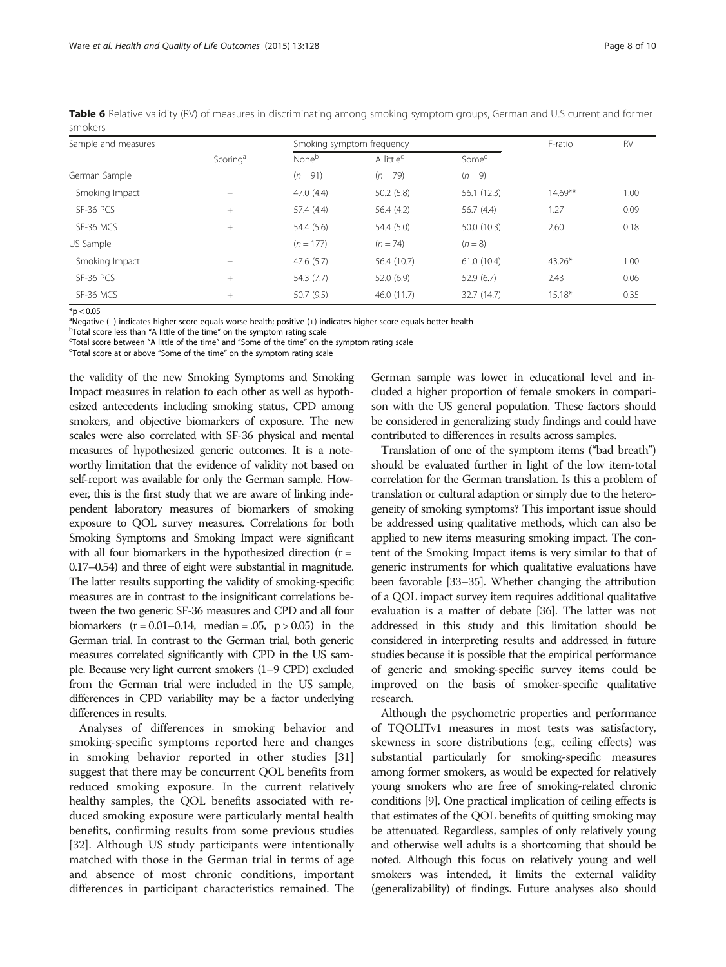| Sample and measures |                      |                   | Smoking symptom frequency | F-ratio           | <b>RV</b>  |      |  |
|---------------------|----------------------|-------------------|---------------------------|-------------------|------------|------|--|
|                     | Scoring <sup>a</sup> | None <sup>b</sup> | A little <sup>c</sup>     | Some <sup>d</sup> |            |      |  |
| German Sample       |                      | $(n = 91)$        | $(n = 79)$                | $(n = 9)$         |            |      |  |
| Smoking Impact      |                      | 47.0(4.4)         | 50.2(5.8)                 | 56.1(12.3)        | $14.69***$ | 1.00 |  |
| SF-36 PCS           | $+$                  | 57.4 (4.4)        | 56.4(4.2)                 | 56.7(4.4)         | 1.27       | 0.09 |  |
| SF-36 MCS           | $+$                  | 54.4 (5.6)        | 54.4(5.0)                 | 50.0(10.3)        | 2.60       | 0.18 |  |
| US Sample           |                      | $(n = 177)$       | $(n = 74)$                | $(n = 8)$         |            |      |  |
| Smoking Impact      |                      | 47.6(5.7)         | 56.4 (10.7)               | 61.0(10.4)        | 43.26*     | 1.00 |  |
| SF-36 PCS           | $^{+}$               | 54.3(7.7)         | 52.0(6.9)                 | 52.9(6.7)         | 2.43       | 0.06 |  |
| SF-36 MCS           | $^{+}$               | 50.7(9.5)         | 46.0 (11.7)               | 32.7 (14.7)       | $15.18*$   | 0.35 |  |

<span id="page-7-0"></span>Table 6 Relative validity (RV) of measures in discriminating among smoking symptom groups, German and U.S current and former smokers

 $*$ p < 0.05

<sup>a</sup>Negative (–) indicates higher score equals worse health; positive (+) indicates higher score equals better health better health<br><sup>b</sup>Total score less than "A little of the time" on the symptom rating scale

<sup>b</sup>Total score less than "A little of the time" on the symptom rating scale

<sup>c</sup>Total score between "A little of the time" and "Some of the time" on the symptom rating scale

<sup>d</sup>Total score at or above "Some of the time" on the symptom rating scale

the validity of the new Smoking Symptoms and Smoking Impact measures in relation to each other as well as hypothesized antecedents including smoking status, CPD among smokers, and objective biomarkers of exposure. The new scales were also correlated with SF-36 physical and mental measures of hypothesized generic outcomes. It is a noteworthy limitation that the evidence of validity not based on self-report was available for only the German sample. However, this is the first study that we are aware of linking independent laboratory measures of biomarkers of smoking exposure to QOL survey measures. Correlations for both Smoking Symptoms and Smoking Impact were significant with all four biomarkers in the hypothesized direction  $(r =$ 0.17–0.54) and three of eight were substantial in magnitude. The latter results supporting the validity of smoking-specific measures are in contrast to the insignificant correlations between the two generic SF-36 measures and CPD and all four biomarkers  $(r = 0.01 - 0.14$ , median = .05, p > 0.05) in the German trial. In contrast to the German trial, both generic measures correlated significantly with CPD in the US sample. Because very light current smokers (1–9 CPD) excluded from the German trial were included in the US sample, differences in CPD variability may be a factor underlying differences in results.

Analyses of differences in smoking behavior and smoking-specific symptoms reported here and changes in smoking behavior reported in other studies [[31](#page-9-0)] suggest that there may be concurrent QOL benefits from reduced smoking exposure. In the current relatively healthy samples, the QOL benefits associated with reduced smoking exposure were particularly mental health benefits, confirming results from some previous studies [[32\]](#page-9-0). Although US study participants were intentionally matched with those in the German trial in terms of age and absence of most chronic conditions, important differences in participant characteristics remained. The German sample was lower in educational level and included a higher proportion of female smokers in comparison with the US general population. These factors should be considered in generalizing study findings and could have contributed to differences in results across samples.

Translation of one of the symptom items ("bad breath") should be evaluated further in light of the low item-total correlation for the German translation. Is this a problem of translation or cultural adaption or simply due to the heterogeneity of smoking symptoms? This important issue should be addressed using qualitative methods, which can also be applied to new items measuring smoking impact. The content of the Smoking Impact items is very similar to that of generic instruments for which qualitative evaluations have been favorable [\[33](#page-9-0)–[35\]](#page-9-0). Whether changing the attribution of a QOL impact survey item requires additional qualitative evaluation is a matter of debate [\[36](#page-9-0)]. The latter was not addressed in this study and this limitation should be considered in interpreting results and addressed in future studies because it is possible that the empirical performance of generic and smoking-specific survey items could be improved on the basis of smoker-specific qualitative research.

Although the psychometric properties and performance of TQOLITv1 measures in most tests was satisfactory, skewness in score distributions (e.g., ceiling effects) was substantial particularly for smoking-specific measures among former smokers, as would be expected for relatively young smokers who are free of smoking-related chronic conditions [\[9](#page-8-0)]. One practical implication of ceiling effects is that estimates of the QOL benefits of quitting smoking may be attenuated. Regardless, samples of only relatively young and otherwise well adults is a shortcoming that should be noted. Although this focus on relatively young and well smokers was intended, it limits the external validity (generalizability) of findings. Future analyses also should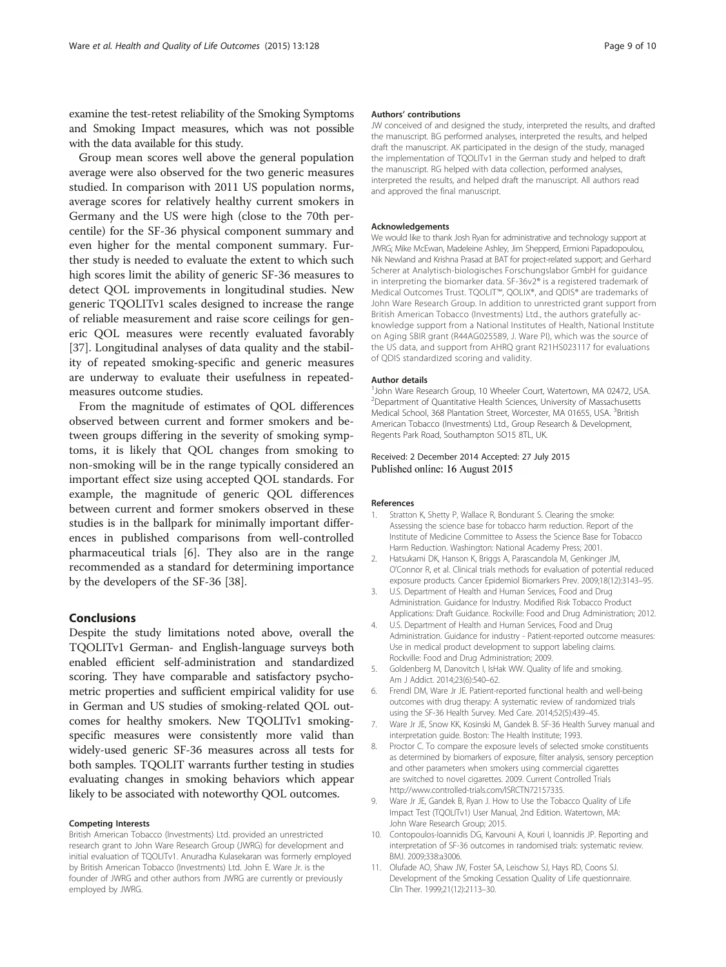<span id="page-8-0"></span>examine the test-retest reliability of the Smoking Symptoms and Smoking Impact measures, which was not possible with the data available for this study.

Group mean scores well above the general population average were also observed for the two generic measures studied. In comparison with 2011 US population norms, average scores for relatively healthy current smokers in Germany and the US were high (close to the 70th percentile) for the SF-36 physical component summary and even higher for the mental component summary. Further study is needed to evaluate the extent to which such high scores limit the ability of generic SF-36 measures to detect QOL improvements in longitudinal studies. New generic TQOLITv1 scales designed to increase the range of reliable measurement and raise score ceilings for generic QOL measures were recently evaluated favorably [[37\]](#page-9-0). Longitudinal analyses of data quality and the stability of repeated smoking-specific and generic measures are underway to evaluate their usefulness in repeatedmeasures outcome studies.

From the magnitude of estimates of QOL differences observed between current and former smokers and between groups differing in the severity of smoking symptoms, it is likely that QOL changes from smoking to non-smoking will be in the range typically considered an important effect size using accepted QOL standards. For example, the magnitude of generic QOL differences between current and former smokers observed in these studies is in the ballpark for minimally important differences in published comparisons from well-controlled pharmaceutical trials [6]. They also are in the range recommended as a standard for determining importance by the developers of the SF-36 [[38](#page-9-0)].

#### Conclusions

Despite the study limitations noted above, overall the TQOLITv1 German- and English-language surveys both enabled efficient self-administration and standardized scoring. They have comparable and satisfactory psychometric properties and sufficient empirical validity for use in German and US studies of smoking-related QOL outcomes for healthy smokers. New TQOLITv1 smokingspecific measures were consistently more valid than widely-used generic SF-36 measures across all tests for both samples. TQOLIT warrants further testing in studies evaluating changes in smoking behaviors which appear likely to be associated with noteworthy QOL outcomes.

#### Competing Interests

British American Tobacco (Investments) Ltd. provided an unrestricted research grant to John Ware Research Group (JWRG) for development and initial evaluation of TQOLITv1. Anuradha Kulasekaran was formerly employed by British American Tobacco (Investments) Ltd. John E. Ware Jr. is the founder of JWRG and other authors from JWRG are currently or previously employed by JWRG.

#### Authors' contributions

JW conceived of and designed the study, interpreted the results, and drafted the manuscript. BG performed analyses, interpreted the results, and helped draft the manuscript. AK participated in the design of the study, managed the implementation of TQOLITv1 in the German study and helped to draft the manuscript. RG helped with data collection, performed analyses, interpreted the results, and helped draft the manuscript. All authors read and approved the final manuscript.

#### Acknowledgements

We would like to thank Josh Ryan for administrative and technology support at JWRG; Mike McEwan, Madeleine Ashley, Jim Shepperd, Ermioni Papadopoulou, Nik Newland and Krishna Prasad at BAT for project-related support; and Gerhard Scherer at Analytisch-biologisches Forschungslabor GmbH for guidance in interpreting the biomarker data. SF-36v2® is a registered trademark of Medical Outcomes Trust. TQOLIT™, QOLIX®, and QDIS® are trademarks of John Ware Research Group. In addition to unrestricted grant support from British American Tobacco (Investments) Ltd., the authors gratefully acknowledge support from a National Institutes of Health, National Institute on Aging SBIR grant (R44AG025589, J. Ware PI), which was the source of the US data, and support from AHRQ grant R21HS023117 for evaluations of QDIS standardized scoring and validity.

#### Author details

<sup>1</sup>John Ware Research Group, 10 Wheeler Court, Watertown, MA 02472, USA <sup>2</sup> Department of Quantitative Health Sciences, University of Massachusetts Medical School, 368 Plantation Street, Worcester, MA 01655, USA. <sup>3</sup>British American Tobacco (Investments) Ltd., Group Research & Development, Regents Park Road, Southampton SO15 8TL, UK.

#### Received: 2 December 2014 Accepted: 27 July 2015 Published online: 16 August 2015

#### References

- Stratton K, Shetty P, Wallace R, Bondurant S. Clearing the smoke: Assessing the science base for tobacco harm reduction. Report of the Institute of Medicine Committee to Assess the Science Base for Tobacco Harm Reduction. Washington: National Academy Press; 2001.
- 2. Hatsukami DK, Hanson K, Briggs A, Parascandola M, Genkinger JM, O'Connor R, et al. Clinical trials methods for evaluation of potential reduced exposure products. Cancer Epidemiol Biomarkers Prev. 2009;18(12):3143–95.
- 3. U.S. Department of Health and Human Services, Food and Drug Administration. Guidance for Industry. Modified Risk Tobacco Product Applications: Draft Guidance. Rockville: Food and Drug Administration; 2012.
- 4. U.S. Department of Health and Human Services, Food and Drug Administration. Guidance for industry - Patient-reported outcome measures: Use in medical product development to support labeling claims. Rockville: Food and Drug Administration; 2009.
- 5. Goldenberg M, Danovitch I, IsHak WW. Quality of life and smoking. Am J Addict. 2014;23(6):540–62.
- 6. Frendl DM, Ware Jr JE. Patient-reported functional health and well-being outcomes with drug therapy: A systematic review of randomized trials using the SF-36 Health Survey. Med Care. 2014;52(5):439–45.
- 7. Ware Jr JE, Snow KK, Kosinski M, Gandek B. SF-36 Health Survey manual and interpretation guide. Boston: The Health Institute; 1993.
- Proctor C. To compare the exposure levels of selected smoke constituents as determined by biomarkers of exposure, filter analysis, sensory perception and other parameters when smokers using commercial cigarettes are switched to novel cigarettes, 2009. Current Controlled Trials [http://www.controlled-trials.com/ISRCTN72157335.](http://www.controlled-trials.com/ISRCTN72157335)
- 9. Ware Jr JE, Gandek B, Ryan J. How to Use the Tobacco Quality of Life Impact Test (TQOLITv1) User Manual, 2nd Edition. Watertown, MA: John Ware Research Group; 2015.
- 10. Contopoulos-Ioannidis DG, Karvouni A, Kouri I, Ioannidis JP. Reporting and interpretation of SF-36 outcomes in randomised trials: systematic review. BMJ. 2009;338:a3006.
- 11. Olufade AO, Shaw JW, Foster SA, Leischow SJ, Hays RD, Coons SJ. Development of the Smoking Cessation Quality of Life questionnaire. Clin Ther. 1999;21(12):2113–30.